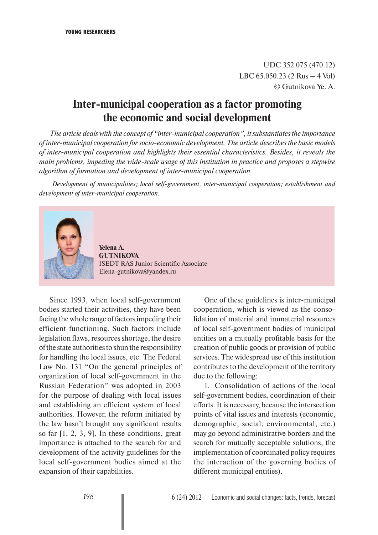UDC 352.075 (470.12) LBC 65.050.23 (2 Rus – 4 Vol) © Gutnikova Ye. А.

# **Inter-municipal cooperation as a factor promoting the economic and social development**

*The article deals with the concept of "inter-municipal cooperation", it substantiates the importance of inter-municipal cooperation for socio-economic development. The article describes the basic models of inter-municipal cooperation and highlights their essential characteristics. Besides, it reveals the main problems, impeding the wide-scale usage of this institution in practice and proposes a stepwise algorithm of formation and development of inter-municipal cooperation.*

 *Development of municipalities; local self-government, inter-municipal cooperation; establishment and development of inter-municipal cooperation.*



**Yelena A. GUTNIKOVA** ISEDT RAS Junior Scientific Associate Elena-gutnikova@yandex.ru

Since 1993, when local self-government bodies started their activities, they have been facing the whole range of factors impeding their efficient functioning. Such factors include legislation flaws, resources shortage, the desire of the state authorities to shun the responsibility for handling the local issues, etc. The Federal Law No. 131 "On the general principles of organization of local self-government in the Russian Federation" was adopted in 2003 for the purpose of dealing with local issues and establishing an efficient system of local authorities. However, the reform initiated by the law hasn't brought any significant results so far [1, 2, 3, 9]. In these conditions, great importance is attached to the search for and development of the activity guidelines for the local self-government bodies aimed at the expansion of their capabilities.

One of these guidelines is inter-municipal cooperation, which is viewed as the consolidation of material and immaterial resources of local self-government bodies of municipal entities on a mutually profitable basis for the creation of public goods or provision of public services. The widespread use of this institution contributes to the development of the territory due to the following:

1. Consolidation of actions of the local self-government bodies, coordination of their efforts. It is necessary, because the intersection points of vital issues and interests (economic, demographic, social, environmental, etc.) may go beyond administrative borders and the search for mutually acceptable solutions, the implementation of coordinated policy requires the interaction of the governing bodies of different municipal entities).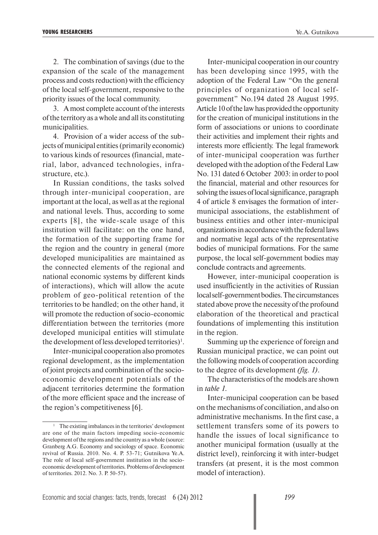2. The combination of savings (due to the expansion of the scale of the management process and costs reduction) with the efficiency of the local self-government, responsive to the priority issues of the local community.

3. A most complete account of the interests of the territory as a whole and all its constituting municipalities.

4. Provision of a wider access of the subjects of municipal entities (primarily economic) to various kinds of resources (financial, material, labor, advanced technologies, infrastructure, etc.).

In Russian conditions, the tasks solved through inter-municipal cooperation, are important at the local, as well as at the regional and national levels. Thus, according to some experts [8], the wide-scale usage of this institution will facilitate: on the one hand, the formation of the supporting frame for the region and the country in general (more developed municipalities are maintained as the connected elements of the regional and national economic systems by different kinds of interactions), which will allow the acute problem of geo-political retention of the territories to be handled; on the other hand, it will promote the reduction of socio-economic differentiation between the territories (more developed municipal entities will stimulate the development of less developed territories)<sup>1</sup>.

Inter-municipal cooperation also promotes regional development, as the implementation of joint projects and combination of the socioeconomic development potentials of the adjacent territories determine the formation of the more efficient space and the increase of the region's competitiveness [6].

Inter-municipal cooperation in our country has been developing since 1995, with the adoption of the Federal Law "On the general principles of organization of local selfgovernment" No.194 dated 28 August 1995. Article 10 of the law has provided the opportunity for the creation of municipal institutions in the form of associations or unions to coordinate their activities and implement their rights and interests more efficiently. The legal framework of inter-municipal cooperation was further developed with the adoption of the Federal Law No. 131 dated 6 October 2003: in order to pool the financial, material and other resources for solving the issues of local significance, paragraph 4 of article 8 envisages the formation of intermunicipal associations, the establishment of business entities and other inter-municipal organizations in accordance with the federal laws and normative legal acts of the representative bodies of municipal formations. For the same purpose, the local self-government bodies may conclude contracts and agreements.

However, inter-municipal cooperation is used insufficiently in the activities of Russian local self-government bodies. The circumstances stated above prove the necessity of the profound elaboration of the theoretical and practical foundations of implementing this institution in the region.

Summing up the experience of foreign and Russian municipal practice, we can point out the following models of cooperation according to the degree of its development *(fig. 1)*.

The characteristics of the models are shown in *table 1*.

Inter-municipal cooperation can be based on the mechanisms of conciliation, and also on administrative mechanisms. In the first case, a settlement transfers some of its powers to handle the issues of local significance to another municipal formation (usually at the district level), reinforcing it with inter-budget transfers (at present, it is the most common model of interaction).

<sup>1</sup> The existing imbalances in the territories' development are one of the main factors impeding socio-economic development of the regions and the country as a whole (source: Granberg A.G. Economy and sociology of space. Economic revival of Russia. 2010. No. 4. P. 53-71; Gutnikova Ye.A. The role of local self-government institution in the socioeconomic development of territories. Problems of development of territories. 2012. No. 3. P. 50-57).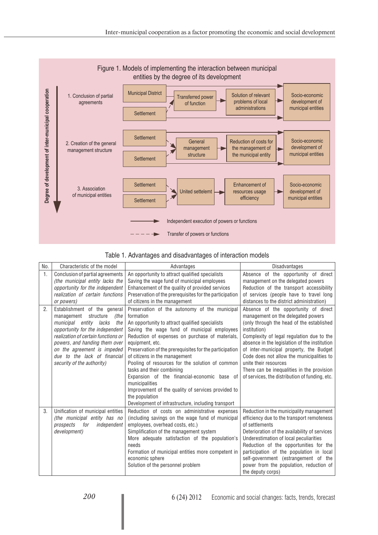

|  | Table 1. Advantages and disadvantages of interaction models |  |  |
|--|-------------------------------------------------------------|--|--|
|  |                                                             |  |  |

| No.            | Characteristic of the model                                                                                                                                                                                                                                                                              | Advantages                                                                                                                                                                                                                                                                                                                                                                                                                                                                                                                                                                                                    | <b>Disadvantages</b>                                                                                                                                                                                                                                                                                                                                                                                                                                   |
|----------------|----------------------------------------------------------------------------------------------------------------------------------------------------------------------------------------------------------------------------------------------------------------------------------------------------------|---------------------------------------------------------------------------------------------------------------------------------------------------------------------------------------------------------------------------------------------------------------------------------------------------------------------------------------------------------------------------------------------------------------------------------------------------------------------------------------------------------------------------------------------------------------------------------------------------------------|--------------------------------------------------------------------------------------------------------------------------------------------------------------------------------------------------------------------------------------------------------------------------------------------------------------------------------------------------------------------------------------------------------------------------------------------------------|
| $\mathbf{1}$ . | Conclusion of partial agreements<br>(the municipal entity lacks the<br>opportunity for the independent<br>realization of certain functions<br>or powers)                                                                                                                                                 | An opportunity to attract qualified specialists<br>Saving the wage fund of municipal employees<br>Enhancement of the quality of provided services<br>Preservation of the prerequisites for the participation<br>of citizens in the management                                                                                                                                                                                                                                                                                                                                                                 | Absence of the opportunity of direct<br>management on the delegated powers<br>Reduction of the transport accessibility<br>of services (people have to travel long<br>distances to the district administration)                                                                                                                                                                                                                                         |
| 2.             | Establishment of the general<br>management<br>structure<br>(the<br>municipal entity lacks<br>the<br>opportunity for the independent<br>realization of certain functions or<br>powers, and handing them over<br>on the agreement is impeded<br>due to the lack of financial<br>security of the authority) | Preservation of the autonomy of the municipal<br>formation<br>An opportunity to attract qualified specialists<br>Saving the wage fund of municipal employees<br>Reduction of expenses on purchase of materials,<br>equipment, etc.<br>Preservation of the prerequisites for the participation<br>of citizens in the management<br>Pooling of resources for the solution of common<br>tasks and their combining<br>Expansion of the financial-economic base of<br>municipalities<br>Improvement of the quality of services provided to<br>the population<br>Development of infrastructure, including transport | Absence of the opportunity of direct<br>management on the delegated powers<br>(only through the head of the established<br>institution)<br>Complexity of legal regulation due to the<br>absence in the legislation of the institution<br>of inter-municipal property, the Budget<br>Code does not allow the municipalities to<br>unite their resources<br>There can be inequalities in the provision<br>of services, the distribution of funding, etc. |
| 3.             | Unification of municipal entities<br>(the municipal entity has no<br>for<br>independent<br>prospects<br>development)                                                                                                                                                                                     | Reduction of costs on administrative expenses<br>(including savings on the wage fund of municipal<br>employees, overhead costs, etc.)<br>Simplification of the management system<br>More adequate satisfaction of the population's<br>needs<br>Formation of municipal entities more competent in<br>economic sphere<br>Solution of the personnel problem                                                                                                                                                                                                                                                      | Reduction in the municipality management<br>efficiency due to the transport remoteness<br>of settlements<br>Deterioration of the availability of services<br>Underestimation of local peculiarities<br>Reduction of the opportunities for the<br>participation of the population in local<br>self-government (estrangement of the<br>power from the population, reduction of<br>the deputy corps)                                                      |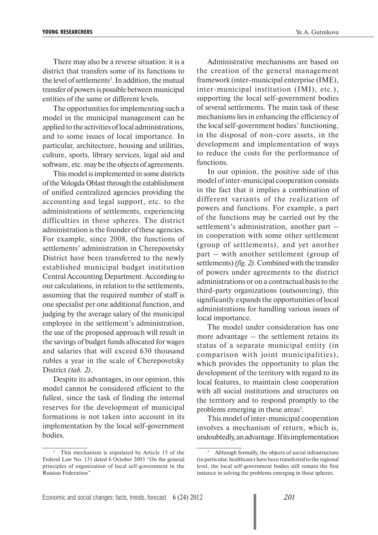There may also be a reverse situation: it is a district that transfers some of its functions to the level of settlements<sup>2</sup>. In addition, the mutual transfer of powers is possible between municipal entities of the same or different levels.

The opportunities for implementing such a model in the municipal management can be applied to the activities of local administrations, and to some issues of local importance. In particular, architecture, housing and utilities, culture, sports, library services, legal aid and software, etc. may be the objects of agreements.

This model is implemented in some districts of the Vologda Oblast through the establishment of unified centralized agencies providing the accounting and legal support, etc. to the administrations of settlements, experiencing difficulties in these spheres. The district administration is the founder of these agencies. For example, since 2008, the functions of settlements' administration in Cherepovetsky District have been transferred to the newly established municipal budget institution Central Accounting Department. According to our calculations, in relation to the settlements, assuming that the required number of staff is one specialist per one additional function, and judging by the average salary of the municipal employee in the settlement's administration, the use of the proposed approach will result in the savings of budget funds allocated for wages and salaries that will exceed 630 thousand rubles a year in the scale of Cherepovetsky District *(tab. 2)*.

Despite its advantages, in our opinion, this model cannot be considered efficient to the fullest, since the task of finding the internal reserves for the development of municipal formations is not taken into account in its implementation by the local self-government bodies.

Administrative mechanisms are based on the creation of the general management framework (inter-municipal enterprise (IME), inter-municipal institution (IMI), etc.), supporting the local self-government bodies of several settlements. The main task of these mechanisms lies in enhancing the efficiency of the local self-government bodies' functioning, in the disposal of non-core assets, in the development and implementation of ways to reduce the costs for the performance of functions.

In our opinion, the positive side of this model of inter-municipal cooperation consists in the fact that it implies a combination of different variants of the realization of powers and functions. For example, a part of the functions may be carried out by the settlement's administration, another part – in cooperation with some other settlement (group of settlements), and yet another part – with another settlement (group of settlements) *(fig. 2)*. Combined with the transfer of powers under agreements to the district administrations or on a contractual basis to the third-party organizations (outsourcing), this significantly expands the opportunities of local administrations for handling various issues of local importance.

The model under consideration has one more advantage – the settlement retains its status of a separate municipal entity (in comparison with joint municipalities), which provides the opportunity to plan the development of the territory with regard to its local features, to maintain close cooperation with all social institutions and structures on the territory and to respond promptly to the problems emerging in these areas<sup>3</sup>.

This model of inter-municipal cooperation involves a mechanism of return, which is, undoubtedly, an advantage. If its implementation

<sup>&</sup>lt;sup>2</sup> This mechanism is stipulated by Article 15 of the Federal Law No. 131 dated 6 October 2003 "On the general principles of organization of local self-government in the Russian Federation"

<sup>3</sup> Although formally, the objects of social infrastructure (in particular, healthcare) have been transferred to the regional level, the local self-government bodies still remain the first instance in solving the problems emerging in these spheres.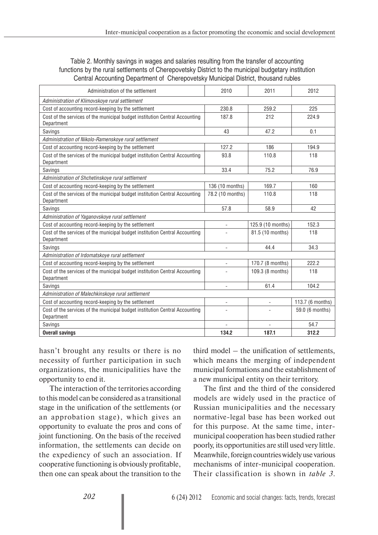### Table 2. Monthly savings in wages and salaries resulting from the transfer of accounting functions by the rural settlements of Cherepovetsky District to the municipal budgetary institution Central Accounting Department of Cherepovetsky Municipal District, thousand rubles

| Administration of the settlement                                                          | 2010                         | 2011                     | 2012             |  |
|-------------------------------------------------------------------------------------------|------------------------------|--------------------------|------------------|--|
| Administration of Klimovskoye rural settlement                                            |                              |                          |                  |  |
| Cost of accounting record-keeping by the settlement                                       | 230.8                        | 259.2                    | 225              |  |
| Cost of the services of the municipal budget institution Central Accounting<br>Department | 187.8                        | 212                      | 224.9            |  |
| Savings                                                                                   | 43                           | 47.2                     | 0.1              |  |
| Administration of Nikolo-Ramenskoye rural settlement                                      |                              |                          |                  |  |
| Cost of accounting record-keeping by the settlement                                       | 127.2                        | 186                      | 194.9            |  |
| Cost of the services of the municipal budget institution Central Accounting<br>Department | 93.8                         | 110.8                    | 118              |  |
| Savings                                                                                   | 33.4                         | 75.2                     | 76.9             |  |
| Administration of Shchetinskoye rural settlement                                          |                              |                          |                  |  |
| Cost of accounting record-keeping by the settlement                                       | 136 (10 months)              | 169.7                    | 160              |  |
| Cost of the services of the municipal budget institution Central Accounting<br>Department | 78.2 (10 months)             | 110.8                    | 118              |  |
| Savings                                                                                   | 57.8                         | 58.9                     | 42               |  |
| Administration of Yaganovskoye rural settlement                                           |                              |                          |                  |  |
| Cost of accounting record-keeping by the settlement                                       | $\overline{\phantom{0}}$     | 125.9 (10 months)        | 152.3            |  |
| Cost of the services of the municipal budget institution Central Accounting<br>Department |                              | 81.5 (10 months)         | 118              |  |
| Savings                                                                                   | $\qquad \qquad \blacksquare$ | 44.4                     | 34.3             |  |
| Administration of Irdomatskoye rural settlement                                           |                              |                          |                  |  |
| Cost of accounting record-keeping by the settlement                                       | $\overline{\phantom{a}}$     | 170.7 (8 months)         | 222.2            |  |
| Cost of the services of the municipal budget institution Central Accounting<br>Department |                              | 109.3 (8 months)         | 118              |  |
| Savings                                                                                   |                              | 61.4                     | 104.2            |  |
| Administration of Malechkinskoye rural settlement                                         |                              |                          |                  |  |
| Cost of accounting record-keeping by the settlement                                       | $\qquad \qquad -$            | $\overline{\phantom{a}}$ | 113.7 (6 months) |  |
| Cost of the services of the municipal budget institution Central Accounting<br>Department | L.                           |                          | 59.0 (6 months)  |  |
| Savings                                                                                   |                              |                          | 54.7             |  |
| <b>Overall savings</b>                                                                    | 134.2                        | 187.1                    | 312.2            |  |

hasn't brought any results or there is no necessity of further participation in such organizations, the municipalities have the opportunity to end it.

The interaction of the territories according to this model can be considered as a transitional stage in the unification of the settlements (or an approbation stage), which gives an opportunity to evaluate the pros and cons of joint functioning. On the basis of the received information, the settlements can decide on the expediency of such an association. If cooperative functioning is obviously profitable, then one can speak about the transition to the

third model – the unification of settlements, which means the merging of independent municipal formations and the establishment of a new municipal entity on their territory.

The first and the third of the considered models are widely used in the practice of Russian municipalities and the necessary normative-legal base has been worked out for this purpose. At the same time, intermunicipal cooperation has been studied rather poorly, its opportunities are still used very little. Meanwhile, foreign countries widely use various mechanisms of inter-municipal cooperation. Their classification is shown in *table 3*.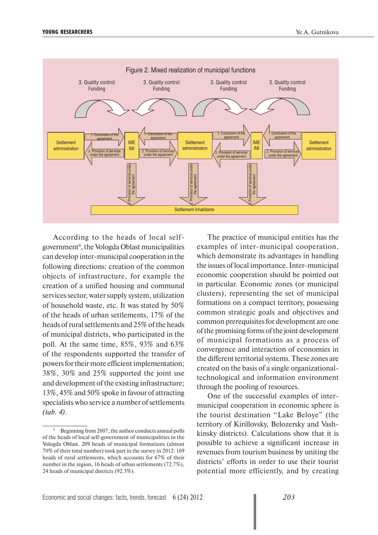

According to the heads of local selfgovernment<sup>4</sup>, the Vologda Oblast municipalities can develop inter-municipal cooperation in the following directions: creation of the common objects of infrastructure, for example the creation of a unified housing and communal services sector, water supply system, utilization of household waste, etc. It was stated by 50% of the heads of urban settlements, 17% of the heads of rural settlements and 25% of the heads of municipal districts, who participated in the poll. At the same time, 85%, 93% and 63% of the respondents supported the transfer of powers for their more efficient implementation; 38%, 30% and 25% supported the joint use and development of the existing infrastructure; 13%, 45% and 50% spoke in favour of attracting specialists who service a number of settlements *(tab. 4)*.

The practice of municipal entities has the examples of inter-municipal cooperation, which demonstrate its advantages in handling the issues of local importance. Inter-municipal economic cooperation should be pointed out in particular. Economic zones (or municipal clusters), representing the set of municipal formations on a compact territory, possessing common strategic goals and objectives and common prerequisites for development are one of the promising forms of the joint development of municipal formations as a process of convergence and interaction of economies in the different territorial systems. These zones are created on the basis of a single organizationaltechnological and information environment through the pooling of resources.

One of the successful examples of intermunicipal cooperation in economic sphere is the tourist destination "Lake Beloye" (the territory of Kirillovsky, Belozersky and Vashkinsky districts). Calculations show that it is possible to achieve a significant increase in revenues from tourism business by uniting the districts' efforts in order to use their tourist potential more efficiently, and by creating

<sup>4</sup> Beginning from 2007, the author conducts annual polls of the heads of local self-government of municipalities in the Vologda Oblast. 209 heads of municipal formations (almost 70% of their total number) took part in the survey in 2012: 169 heads of rural settlements, which accounts for 67% of their number in the region, 16 heads of urban settlements (72.7%), 24 heads of municipal districts (92.3%).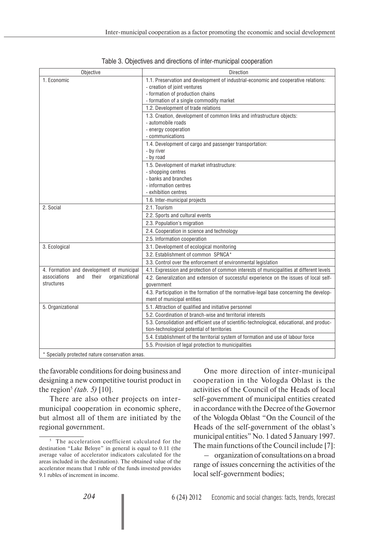| Objective                                        | Direction                                                                                                             |
|--------------------------------------------------|-----------------------------------------------------------------------------------------------------------------------|
| 1. Economic                                      | 1.1. Preservation and development of industrial-economic and cooperative relations:                                   |
|                                                  | - creation of joint ventures                                                                                          |
|                                                  | - formation of production chains                                                                                      |
|                                                  | - formation of a single commodity market                                                                              |
|                                                  | 1.2. Development of trade relations                                                                                   |
|                                                  | 1.3. Creation, development of common links and infrastructure objects:<br>- automobile roads                          |
|                                                  | - energy cooperation                                                                                                  |
|                                                  | - communications                                                                                                      |
|                                                  | 1.4. Development of cargo and passenger transportation:                                                               |
|                                                  | - by river                                                                                                            |
|                                                  | - by road                                                                                                             |
|                                                  | 1.5. Development of market infrastructure:                                                                            |
|                                                  | - shopping centres<br>- banks and branches                                                                            |
|                                                  | - information centres                                                                                                 |
|                                                  | - exhibition centres                                                                                                  |
|                                                  | 1.6. Inter-municipal projects                                                                                         |
| 2. Social                                        | 2.1. Tourism                                                                                                          |
|                                                  | 2.2. Sports and cultural events                                                                                       |
|                                                  | 2.3. Population's migration                                                                                           |
|                                                  | 2.4. Cooperation in science and technology                                                                            |
|                                                  | 2.5. Information cooperation                                                                                          |
| 3. Ecological                                    | 3.1. Development of ecological monitoring                                                                             |
|                                                  | 3.2. Establishment of common SPNCA*                                                                                   |
|                                                  | 3.3. Control over the enforcement of environmental legislation                                                        |
| 4. Formation and development of municipal        | 4.1. Expression and protection of common interests of municipalities at different levels                              |
| organizational<br>associations<br>their<br>and   | 4.2. Generalization and extension of successful experience on the issues of local self-                               |
| structures                                       | government                                                                                                            |
|                                                  | 4.3. Participation in the formation of the normative-legal base concerning the develop-<br>ment of municipal entities |
| 5. Organizational                                | 5.1. Attraction of qualified and initiative personnel                                                                 |
|                                                  | 5.2. Coordination of branch-wise and territorial interests                                                            |
|                                                  | 5.3. Consolidation and efficient use of scientific-technological, educational, and produc-                            |
|                                                  | tion-technological potential of territories                                                                           |
|                                                  | 5.4. Establishment of the territorial system of formation and use of labour force                                     |
|                                                  | 5.5. Provision of legal protection to municipalities                                                                  |
| * Specially protected nature conservation areas. |                                                                                                                       |

| Table 3. Objectives and directions of inter-municipal cooperation |  |  |
|-------------------------------------------------------------------|--|--|
|                                                                   |  |  |

the favorable conditions for doing business and designing a new competitive tourist product in the region<sup>5</sup> *(tab.* 5) [10].

There are also other projects on intermunicipal cooperation in economic sphere, but almost all of them are initiated by the regional government.

One more direction of inter-municipal cooperation in the Vologda Oblast is the activities of the Council of the Heads of local self-government of municipal entities created in accordance with the Decree of the Governor of the Vologda Oblast "On the Council of the Heads of the self-government of the oblast's municipal entities" No. 1 dated 5 January 1997. The main functions of the Council include [7]:

– organization of consultations on a broad range of issues concerning the activities of the local self-government bodies;

<sup>&</sup>lt;sup>5</sup> The acceleration coefficient calculated for the destination "Lake Beloye" in general is equal to 0.11 (the average value of accelerator indicators calculated for the areas included in the destination). The obtained value of the accelerator means that 1 ruble of the funds invested provides 9.1 rubles of increment in income.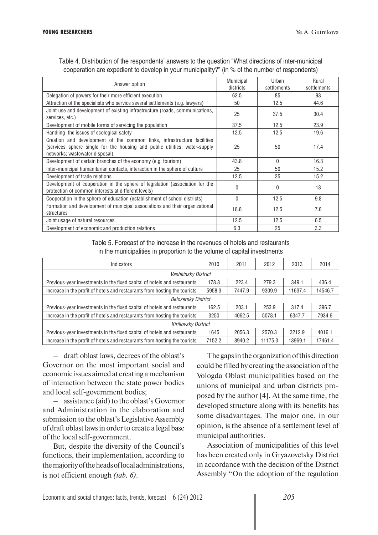| Answer option                                                                                                                                                                           | <b>Municipal</b><br>districts | Urban<br>settlements | Rural<br>settlements |
|-----------------------------------------------------------------------------------------------------------------------------------------------------------------------------------------|-------------------------------|----------------------|----------------------|
| Delegation of powers for their more efficient execution                                                                                                                                 | 62.5                          | 85                   | 93                   |
| Attraction of the specialists who service several settlements (e.g. lawyers)                                                                                                            | 50                            | 12.5                 | 44.6                 |
| Joint use and development of existing infrastructure (roads, communications,<br>services, etc.)                                                                                         | 25                            | 37.5                 | 30.4                 |
| Development of mobile forms of servicing the population                                                                                                                                 | 37.5                          | 12.5                 | 23.9                 |
| Handling the issues of ecological safety                                                                                                                                                | 12.5                          | 12.5                 | 19.6                 |
| Creation and development of the common links, infrastructure facilities<br>(services sphere single for the housing and public utilities; water-supply<br>networks; wastewater disposal) | 25                            | 50                   | 17.4                 |
| Development of certain branches of the economy (e.g. tourism)                                                                                                                           | 43.8                          | $\Omega$             | 16.3                 |
| Inter-municipal humanitarian contacts, interaction in the sphere of culture                                                                                                             | 25                            | 50                   | 15.2                 |
| Development of trade relations                                                                                                                                                          | 12.5                          | 25                   | 15.2                 |
| Development of cooperation in the sphere of legislation (association for the<br>protection of common interests at different levels)                                                     | 0                             | $\Omega$             | 13                   |
| Cooperation in the sphere of education (establishment of school districts)                                                                                                              | $\Omega$                      | 12.5                 | 9.8                  |
| Formation and development of municipal associations and their organizational<br>structures                                                                                              | 18.8                          | 12.5                 | 7.6                  |
| Joint usage of natural resources                                                                                                                                                        | 12.5                          | 12.5                 | 6.5                  |
| Development of economic and production relations                                                                                                                                        | 6.3                           | 25                   | 3.3                  |

Table 4. Distribution of the respondents' answers to the question "What directions of inter-municipal cooperation are expedient to develop in your municipality?" (in % of the number of respondents)

> Table 5. Forecast of the increase in the revenues of hotels and restaurants in the municipalities in proportion to the volume of capital investments

| Indicators                                                                 |        | 2011   | 2012    | 2013    | 2014    |
|----------------------------------------------------------------------------|--------|--------|---------|---------|---------|
| Vashkinsky District                                                        |        |        |         |         |         |
| Previous-year investments in the fixed capital of hotels and restaurants   | 178.8  | 223.4  | 279.3   | 349.1   | 436.4   |
| Increase in the profit of hotels and restaurants from hosting the tourists | 5958.3 | 7447.9 | 9309.9  | 11637.4 | 14546.7 |
| <b>Belozersky District</b>                                                 |        |        |         |         |         |
| Previous-year investments in the fixed capital of hotels and restaurants   | 162.5  | 203.1  | 253.9   | 317.4   | 396.7   |
| Increase in the profit of hotels and restaurants from hosting the tourists | 3250   | 4062.5 | 5078.1  | 6347.7  | 7934.6  |
| Kirillovsky District                                                       |        |        |         |         |         |
| Previous-year investments in the fixed capital of hotels and restaurants   | 1645   | 2056.3 | 2570.3  | 3212.9  | 4016.1  |
| Increase in the profit of hotels and restaurants from hosting the tourists | 7152.2 | 8940.2 | 11175.3 | 13969.1 | 17461.4 |

– draft oblast laws, decrees of the oblast's Governor on the most important social and economic issues aimed at creating a mechanism of interaction between the state power bodies and local self-government bodies;

– assistance (aid) to the oblast's Governor and Administration in the elaboration and submission to the oblast's Legislative Assembly of draft oblast laws in order to create a legal base of the local self-government.

But, despite the diversity of the Council's functions, their implementation, according to the majority of the heads of local administrations, is not efficient enough *(tab. 6)*.

The gaps in the organization of this direction could be filled by creating the association of the Vologda Oblast municipalities based on the unions of municipal and urban districts proposed by the author [4]. At the same time, the developed structure along with its benefits has some disadvantages. The major one, in our opinion, is the absence of a settlement level of municipal authorities.

Association of municipalities of this level has been created only in Gryazovetsky District in accordance with the decision of the District Assembly "On the adoption of the regulation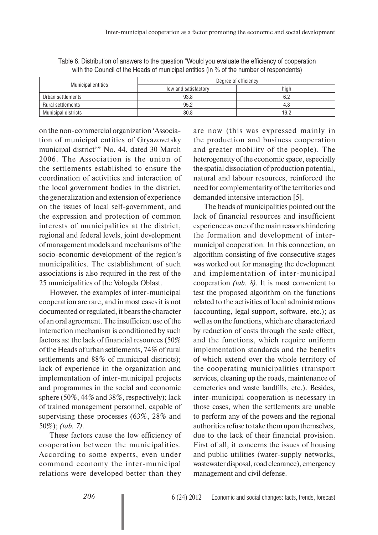|                           | Degree of efficiency |      |  |
|---------------------------|----------------------|------|--|
| <b>Municipal entities</b> | low and satisfactory | high |  |
| Urban settlements         | 93.8                 | 6.2  |  |
| Rural settlements         | 95.2                 | 4.8  |  |
| Municipal districts       | 80.8                 | 19.2 |  |

Table 6. Distribution of answers to the question "Would you evaluate the efficiency of cooperation with the Council of the Heads of municipal entities (in % of the number of respondents)

on the non-commercial organization 'Association of municipal entities of Gryazovetsky municipal district'" No. 44, dated 30 March 2006. The Association is the union of the settlements established to ensure the coordination of activities and interaction of the local government bodies in the district, the generalization and extension of experience on the issues of local self-government, and the expression and protection of common interests of municipalities at the district, regional and federal levels, joint development of management models and mechanisms of the socio-economic development of the region's municipalities. The establishment of such associations is also required in the rest of the 25 municipalities of the Vologda Oblast.

However, the examples of inter-municipal cooperation are rare, and in most cases it is not documented or regulated, it bears the character of an oral agreement. The insufficient use of the interaction mechanism is conditioned by such factors as: the lack of financial resources (50% of the Heads of urban settlements, 74% of rural settlements and 88% of municipal districts); lack of experience in the organization and implementation of inter-municipal projects and programmes in the social and economic sphere (50%, 44% and 38%, respectively); lack of trained management personnel, capable of supervising these processes (63%, 28% and 50%); *(tab. 7)*.

These factors cause the low efficiency of cooperation between the municipalities. According to some experts, even under command economy the inter-municipal relations were developed better than they

are now (this was expressed mainly in the production and business cooperation and greater mobility of the people). The heterogeneity of the economic space, especially the spatial dissociation of production potential, natural and labour resources, reinforced the need for complementarity of the territories and demanded intensive interaction [5].

The heads of municipalities pointed out the lack of financial resources and insufficient experience as one of the main reasons hindering the formation and development of intermunicipal cooperation. In this connection, an algorithm consisting of five consecutive stages was worked out for managing the development and implementation of inter-municipal cooperation *(tab. 8)*. It is most convenient to test the proposed algorithm on the functions related to the activities of local administrations (accounting, legal support, software, etc.); as well as on the functions, which are characterized by reduction of costs through the scale effect, and the functions, which require uniform implementation standards and the benefits of which extend over the whole territory of the cooperating municipalities (transport services, cleaning up the roads, maintenance of cemeteries and waste landfills, etc.). Besides, inter-municipal cooperation is necessary in those cases, when the settlements are unable to perform any of the powers and the regional authorities refuse to take them upon themselves, due to the lack of their financial provision. First of all, it concerns the issues of housing and public utilities (water-supply networks, wastewater disposal, road clearance), emergency management and civil defense.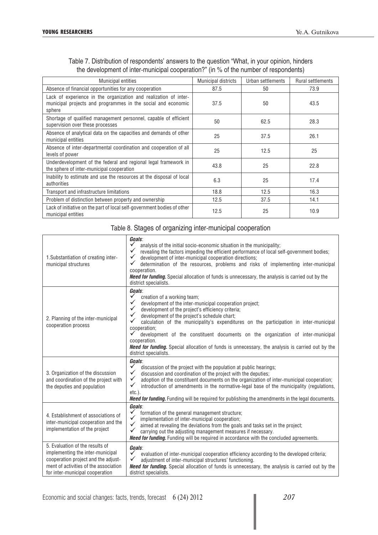| <b>Municipal entities</b>                                                                                                                  | <b>Municipal districts</b> | Urban settlements | <b>Rural settlements</b> |
|--------------------------------------------------------------------------------------------------------------------------------------------|----------------------------|-------------------|--------------------------|
| Absence of financial opportunities for any cooperation                                                                                     | 87.5                       | 50                | 73.9                     |
| Lack of experience in the organization and realization of inter-<br>municipal projects and programmes in the social and economic<br>sphere | 37.5                       | 50                | 43.5                     |
| Shortage of qualified management personnel, capable of efficient<br>supervision over these processes                                       | 50                         | 62.5              | 28.3                     |
| Absence of analytical data on the capacities and demands of other<br>municipal entities                                                    | 25                         | 37.5              | 26.1                     |
| Absence of inter-departmental coordination and cooperation of all<br>levels of power                                                       | 25                         | 12.5              | 25                       |
| Underdevelopment of the federal and regional legal framework in<br>the sphere of inter-municipal cooperation                               | 43.8                       | 25                | 22.8                     |
| Inability to estimate and use the resources at the disposal of local<br>authorities                                                        | 6.3                        | 25                | 17.4                     |
| Transport and infrastructure limitations                                                                                                   | 18.8                       | 12.5              | 16.3                     |
| Problem of distinction between property and ownership                                                                                      | 12.5                       | 37.5              | 14.1                     |
| Lack of initiative on the part of local self-government bodies of other<br>municipal entities                                              | 12.5                       | 25                | 10.9                     |

## Table 7. Distribution of respondents' answers to the question "What, in your opinion, hinders the development of inter-municipal cooperation?" (in % of the number of respondents)

## Table 8. Stages of organizing inter-municipal cooperation

| 1. Substantiation of creating inter-<br>municipal structures                                                                                                                           | Goals:<br>analysis of the initial socio-economic situation in the municipality;<br>$\checkmark$<br>revealing the factors impeding the efficient performance of local self-government bodies;<br>$\checkmark$<br>development of inter-municipal cooperation directions;<br>$\checkmark$<br>determination of the resources, problems and risks of implementing inter-municipal<br>cooperation.<br>Need for funding. Special allocation of funds is unnecessary, the analysis is carried out by the<br>district specialists.                                                                                                              |
|----------------------------------------------------------------------------------------------------------------------------------------------------------------------------------------|----------------------------------------------------------------------------------------------------------------------------------------------------------------------------------------------------------------------------------------------------------------------------------------------------------------------------------------------------------------------------------------------------------------------------------------------------------------------------------------------------------------------------------------------------------------------------------------------------------------------------------------|
| 2. Planning of the inter-municipal<br>cooperation process                                                                                                                              | Goals:<br>$\checkmark$<br>creation of a working team;<br>$\checkmark$<br>development of the inter-municipal cooperation project;<br>$\checkmark$<br>development of the project's efficiency criteria;<br>$\checkmark$<br>development of the project's schedule chart;<br>$\checkmark$<br>calculation of the municipality's expenditures on the participation in inter-municipal<br>cooperation;<br>development of the constituent documents on the organization of inter-municipal<br>cooperation.<br><b>Need for funding.</b> Special allocation of funds is unnecessary, the analysis is carried out by the<br>district specialists. |
| 3. Organization of the discussion<br>and coordination of the project with<br>the deputies and population                                                                               | Goals:<br>$\checkmark$<br>discussion of the project with the population at public hearings;<br>$\checkmark$<br>discussion and coordination of the project with the deputies;<br>$\checkmark$<br>adoption of the constituent documents on the organization of inter-municipal cooperation;<br>$\checkmark$<br>introduction of amendments in the normative-legal base of the municipality (regulations,<br>$etc.$ ).<br><b>Need for funding.</b> Funding will be required for publishing the amendments in the legal documents.                                                                                                          |
| 4. Establishment of associations of<br>inter-municipal cooperation and the<br>implementation of the project                                                                            | Goals:<br>$\checkmark$<br>formation of the general management structure;<br>$\checkmark$<br>implementation of inter-municipal cooperation;<br>$\checkmark$<br>aimed at revealing the deviations from the goals and tasks set in the project;<br>$\checkmark$<br>carrying out the adjusting management measures if necessary.<br><b>Need for funding.</b> Funding will be required in accordance with the concluded agreements.                                                                                                                                                                                                         |
| 5. Evaluation of the results of<br>implementing the inter-municipal<br>cooperation project and the adjust-<br>ment of activities of the association<br>for inter-municipal cooperation | Goals:<br>$\checkmark$<br>evaluation of inter-municipal cooperation efficiency according to the developed criteria;<br>adjustment of inter-municipal structures' functioning.<br>Need for funding. Special allocation of funds is unnecessary, the analysis is carried out by the<br>district specialists.                                                                                                                                                                                                                                                                                                                             |